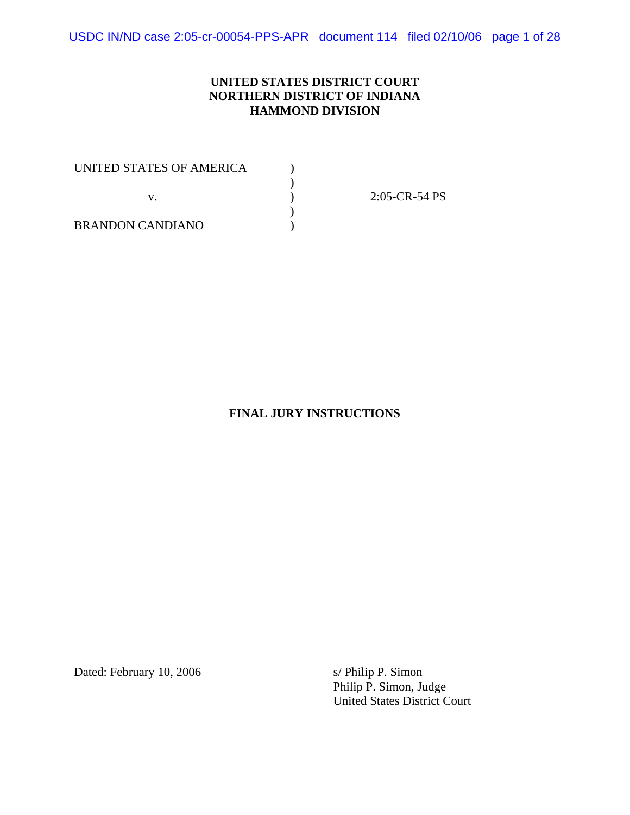USDC IN/ND case 2:05-cr-00054-PPS-APR document 114 filed 02/10/06 page 1 of 28

### **UNITED STATES DISTRICT COURT NORTHERN DISTRICT OF INDIANA HAMMOND DIVISION**

UNITED STATES OF AMERICA  $\qquad \qquad$  )  $)$  $\mathbf{v}$ .  $\qquad \qquad$  ) ) BRANDON CANDIANO )

2:05-CR-54 PS

### **FINAL JURY INSTRUCTIONS**

Dated: February 10, 2006 s/ Philip P. Simon

Philip P. Simon, Judge United States District Court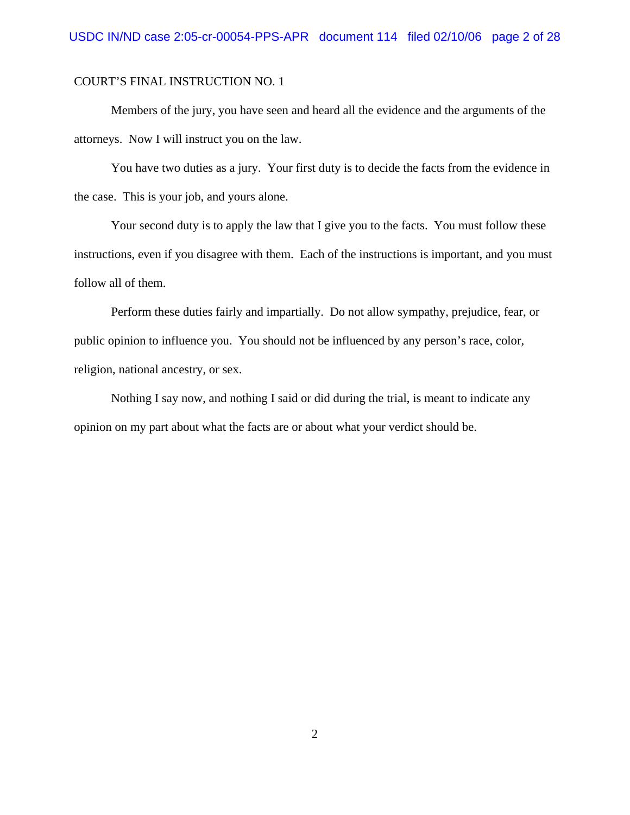Members of the jury, you have seen and heard all the evidence and the arguments of the attorneys. Now I will instruct you on the law.

You have two duties as a jury. Your first duty is to decide the facts from the evidence in the case. This is your job, and yours alone.

Your second duty is to apply the law that I give you to the facts. You must follow these instructions, even if you disagree with them. Each of the instructions is important, and you must follow all of them.

Perform these duties fairly and impartially. Do not allow sympathy, prejudice, fear, or public opinion to influence you. You should not be influenced by any person's race, color, religion, national ancestry, or sex.

Nothing I say now, and nothing I said or did during the trial, is meant to indicate any opinion on my part about what the facts are or about what your verdict should be.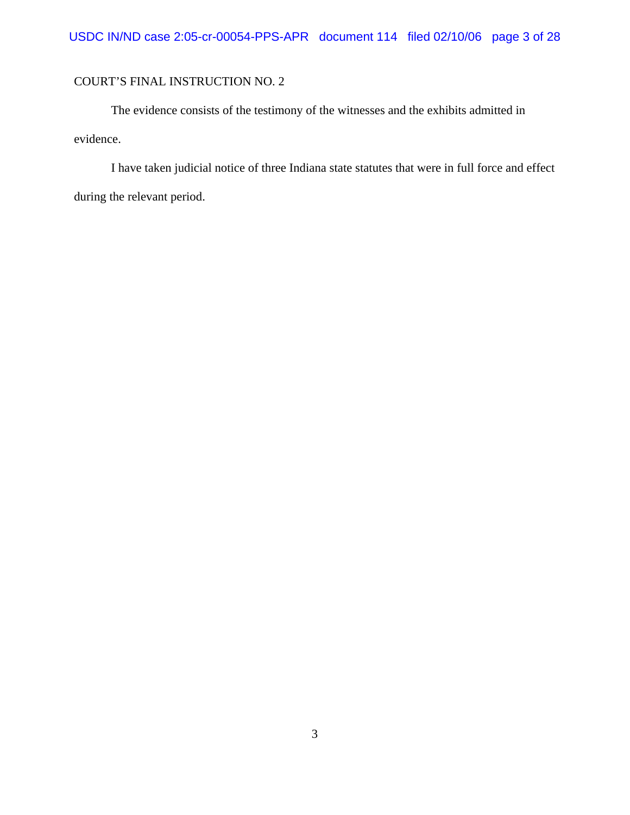The evidence consists of the testimony of the witnesses and the exhibits admitted in evidence.

I have taken judicial notice of three Indiana state statutes that were in full force and effect during the relevant period.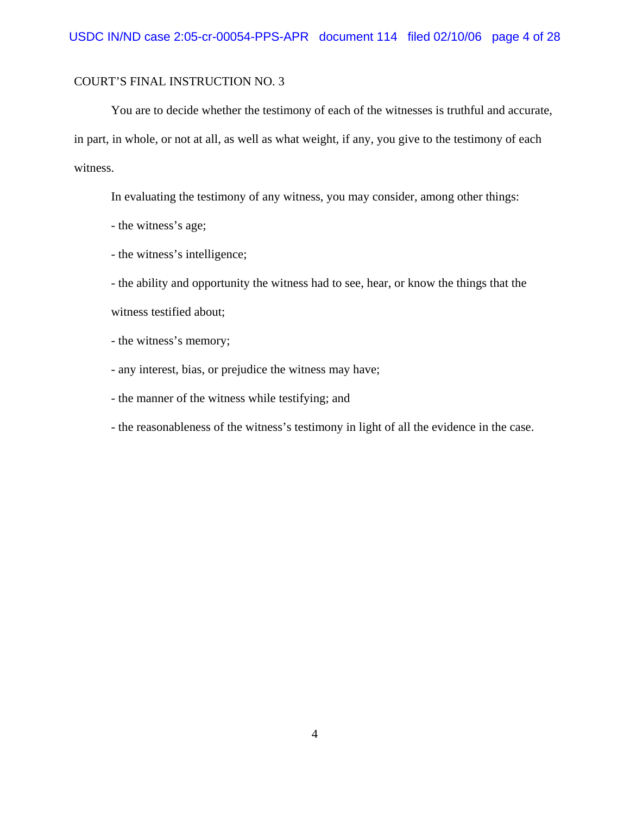You are to decide whether the testimony of each of the witnesses is truthful and accurate, in part, in whole, or not at all, as well as what weight, if any, you give to the testimony of each witness.

In evaluating the testimony of any witness, you may consider, among other things:

- the witness's age;

- the witness's intelligence;

- the ability and opportunity the witness had to see, hear, or know the things that the witness testified about;

- the witness's memory;

- any interest, bias, or prejudice the witness may have;

- the manner of the witness while testifying; and

- the reasonableness of the witness's testimony in light of all the evidence in the case.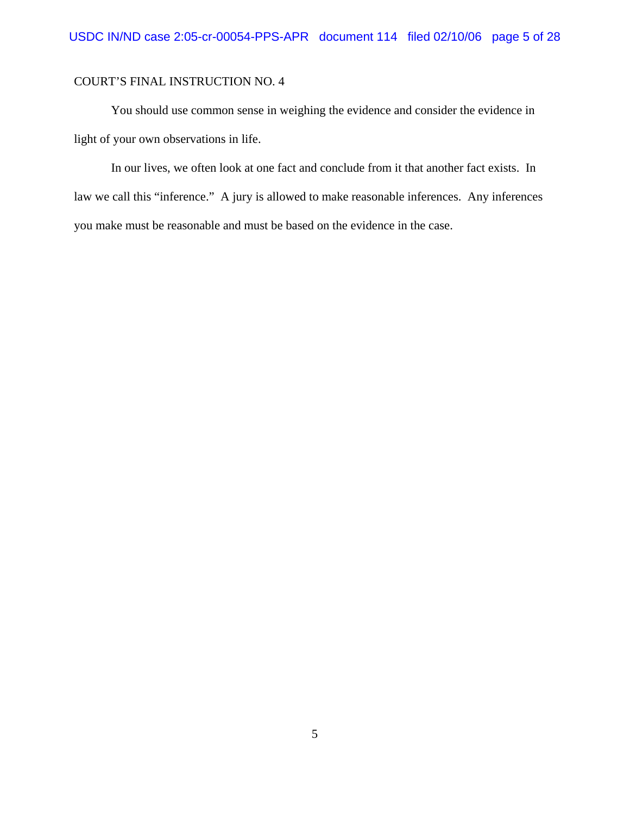You should use common sense in weighing the evidence and consider the evidence in light of your own observations in life.

In our lives, we often look at one fact and conclude from it that another fact exists. In law we call this "inference." A jury is allowed to make reasonable inferences. Any inferences you make must be reasonable and must be based on the evidence in the case.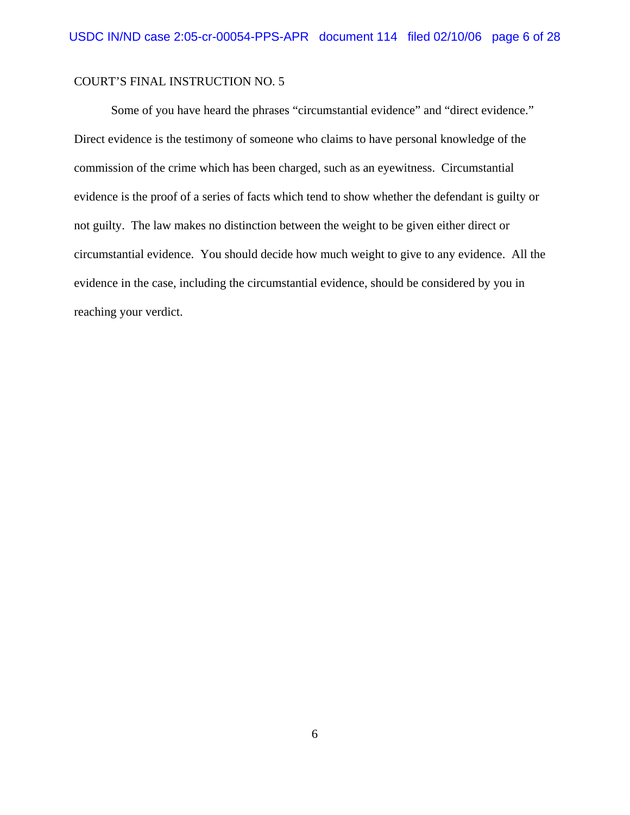Some of you have heard the phrases "circumstantial evidence" and "direct evidence." Direct evidence is the testimony of someone who claims to have personal knowledge of the commission of the crime which has been charged, such as an eyewitness. Circumstantial evidence is the proof of a series of facts which tend to show whether the defendant is guilty or not guilty. The law makes no distinction between the weight to be given either direct or circumstantial evidence. You should decide how much weight to give to any evidence. All the evidence in the case, including the circumstantial evidence, should be considered by you in reaching your verdict.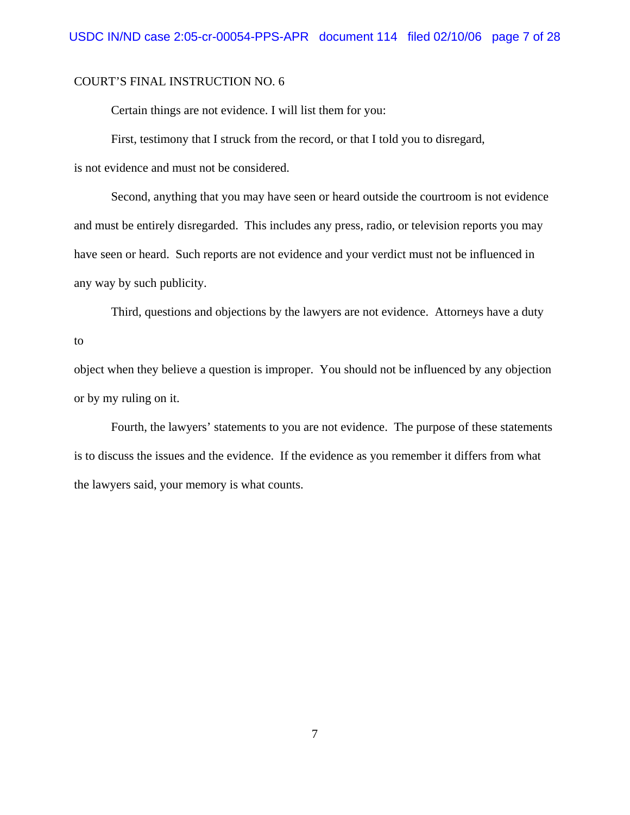Certain things are not evidence. I will list them for you:

First, testimony that I struck from the record, or that I told you to disregard,

is not evidence and must not be considered.

Second, anything that you may have seen or heard outside the courtroom is not evidence and must be entirely disregarded. This includes any press, radio, or television reports you may have seen or heard. Such reports are not evidence and your verdict must not be influenced in any way by such publicity.

Third, questions and objections by the lawyers are not evidence. Attorneys have a duty

to

object when they believe a question is improper. You should not be influenced by any objection or by my ruling on it.

Fourth, the lawyers' statements to you are not evidence. The purpose of these statements is to discuss the issues and the evidence. If the evidence as you remember it differs from what the lawyers said, your memory is what counts.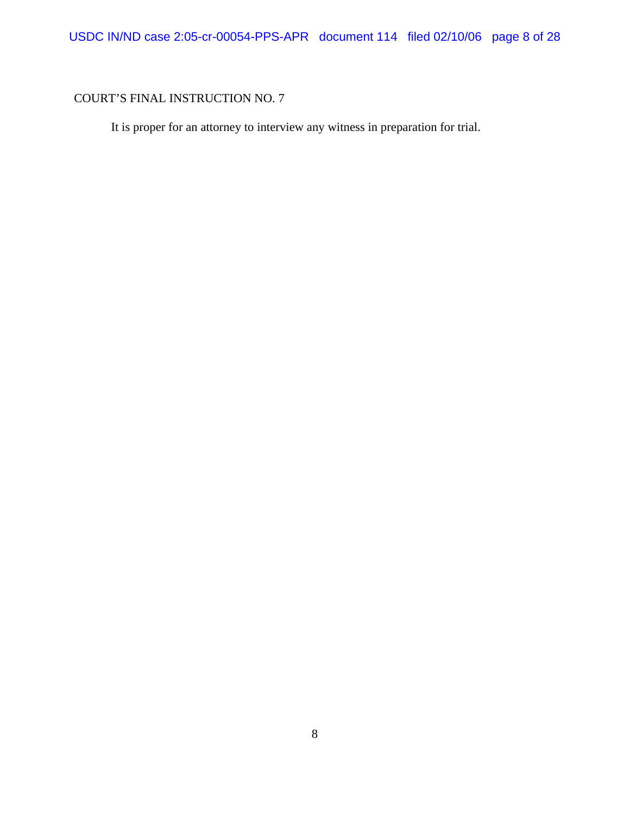It is proper for an attorney to interview any witness in preparation for trial.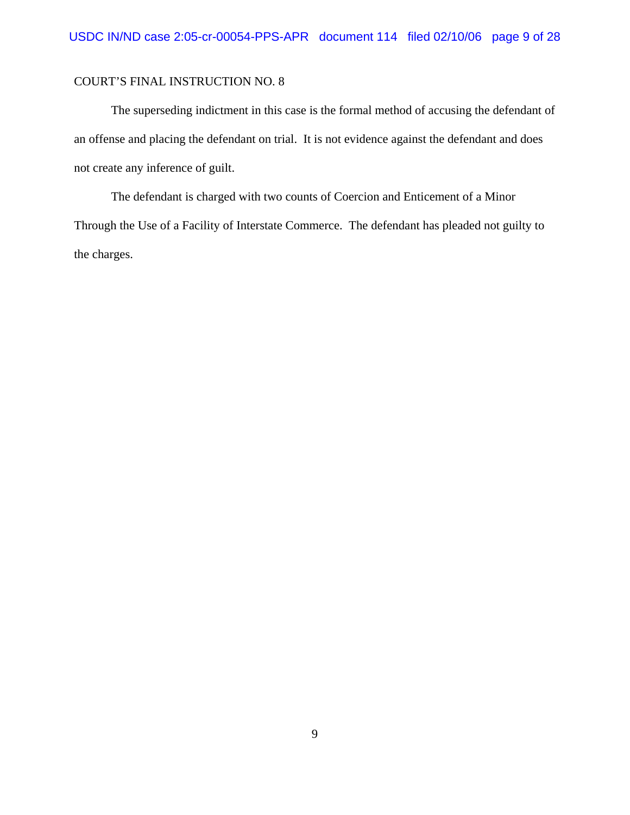The superseding indictment in this case is the formal method of accusing the defendant of an offense and placing the defendant on trial. It is not evidence against the defendant and does not create any inference of guilt.

The defendant is charged with two counts of Coercion and Enticement of a Minor Through the Use of a Facility of Interstate Commerce. The defendant has pleaded not guilty to the charges.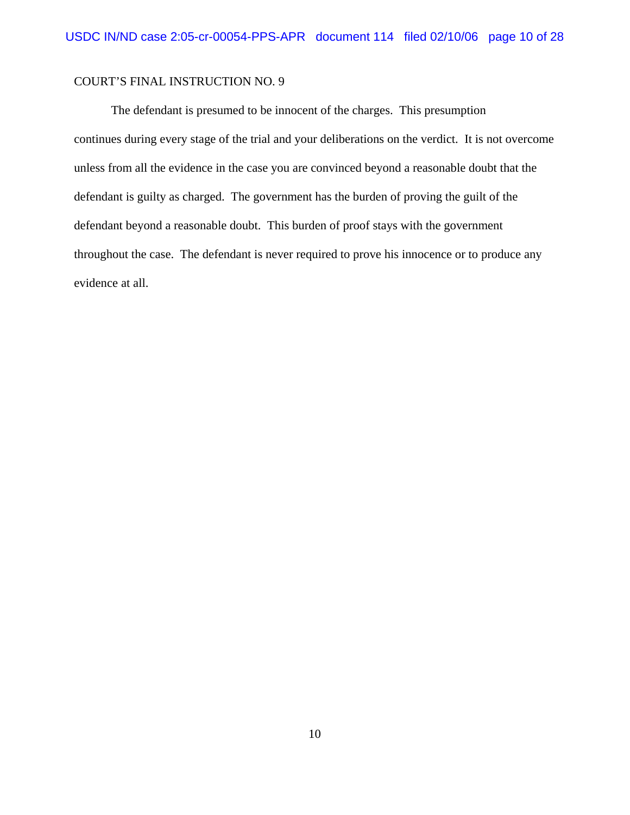The defendant is presumed to be innocent of the charges. This presumption continues during every stage of the trial and your deliberations on the verdict. It is not overcome unless from all the evidence in the case you are convinced beyond a reasonable doubt that the defendant is guilty as charged. The government has the burden of proving the guilt of the defendant beyond a reasonable doubt. This burden of proof stays with the government throughout the case. The defendant is never required to prove his innocence or to produce any evidence at all.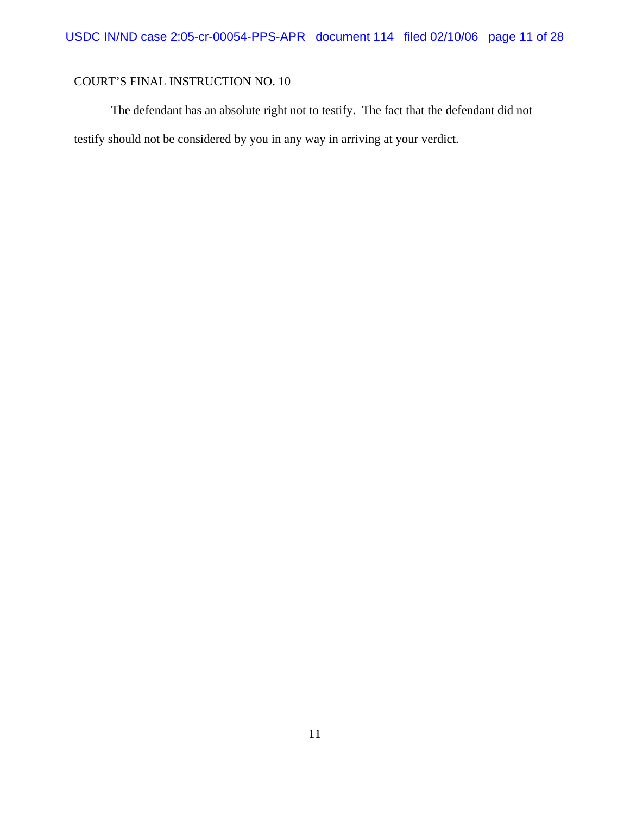The defendant has an absolute right not to testify. The fact that the defendant did not testify should not be considered by you in any way in arriving at your verdict.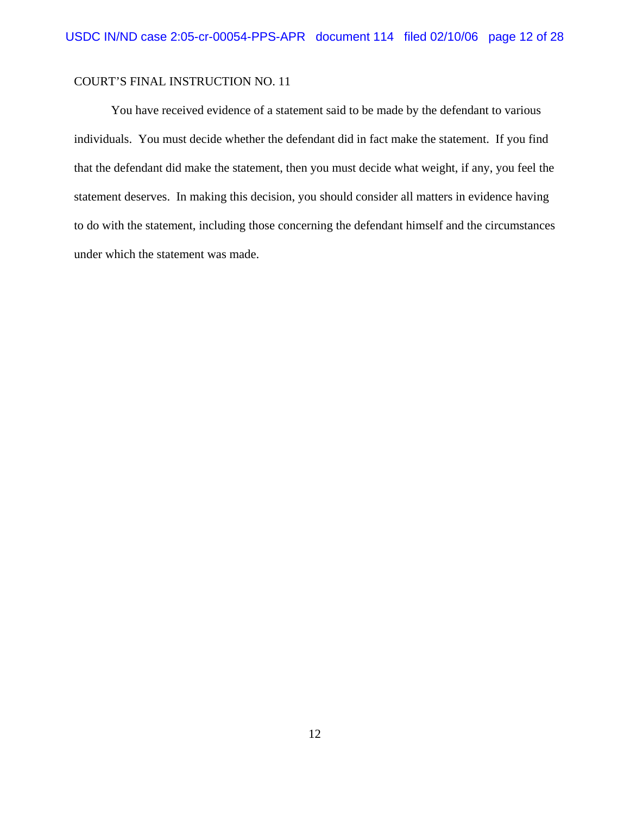You have received evidence of a statement said to be made by the defendant to various individuals. You must decide whether the defendant did in fact make the statement. If you find that the defendant did make the statement, then you must decide what weight, if any, you feel the statement deserves. In making this decision, you should consider all matters in evidence having to do with the statement, including those concerning the defendant himself and the circumstances under which the statement was made.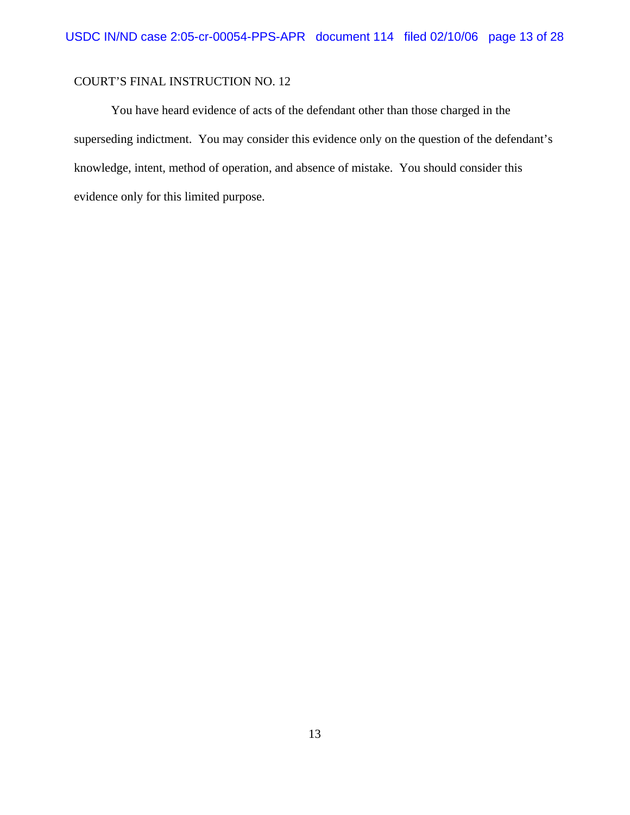You have heard evidence of acts of the defendant other than those charged in the superseding indictment. You may consider this evidence only on the question of the defendant's knowledge, intent, method of operation, and absence of mistake. You should consider this evidence only for this limited purpose.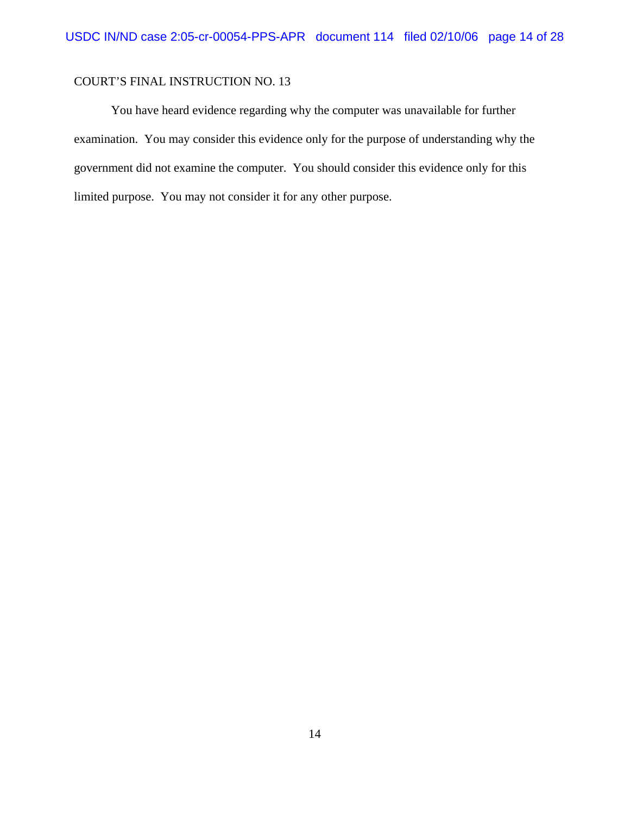You have heard evidence regarding why the computer was unavailable for further examination. You may consider this evidence only for the purpose of understanding why the government did not examine the computer. You should consider this evidence only for this limited purpose. You may not consider it for any other purpose.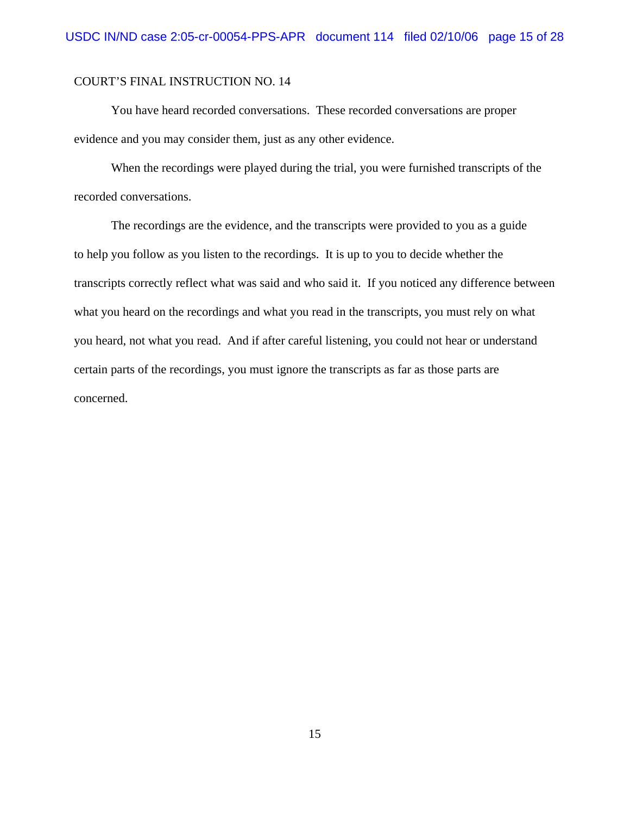You have heard recorded conversations. These recorded conversations are proper evidence and you may consider them, just as any other evidence.

When the recordings were played during the trial, you were furnished transcripts of the recorded conversations.

The recordings are the evidence, and the transcripts were provided to you as a guide to help you follow as you listen to the recordings. It is up to you to decide whether the transcripts correctly reflect what was said and who said it. If you noticed any difference between what you heard on the recordings and what you read in the transcripts, you must rely on what you heard, not what you read. And if after careful listening, you could not hear or understand certain parts of the recordings, you must ignore the transcripts as far as those parts are concerned.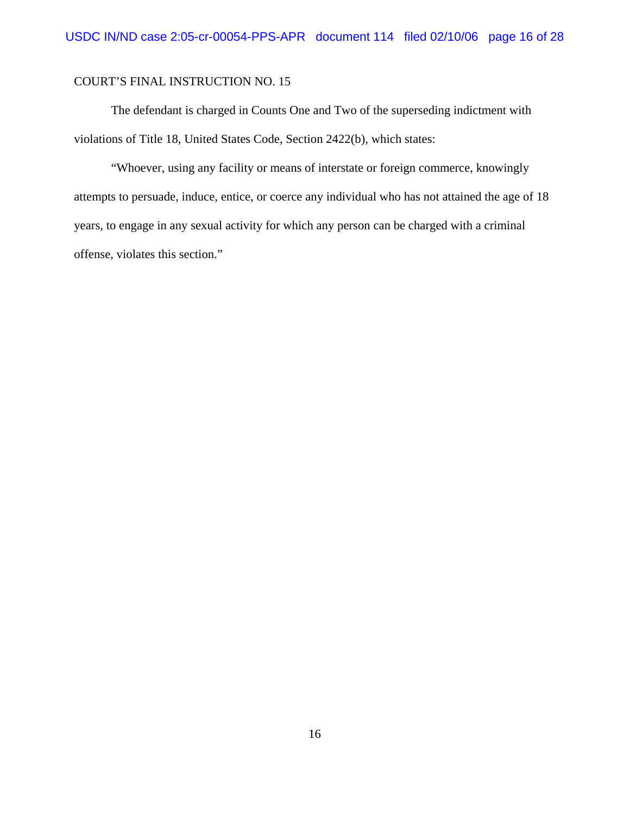The defendant is charged in Counts One and Two of the superseding indictment with violations of Title 18, United States Code, Section 2422(b), which states:

"Whoever, using any facility or means of interstate or foreign commerce, knowingly attempts to persuade, induce, entice, or coerce any individual who has not attained the age of 18 years, to engage in any sexual activity for which any person can be charged with a criminal offense, violates this section."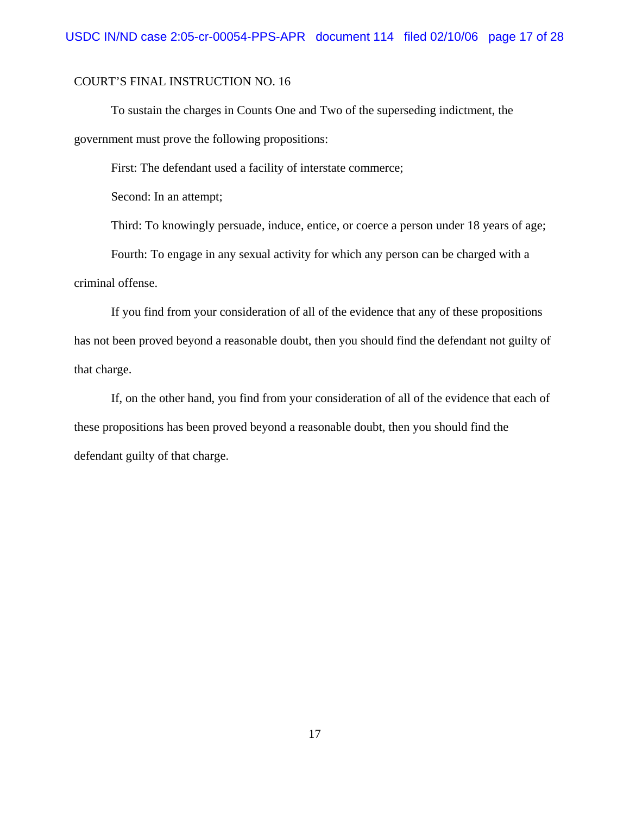To sustain the charges in Counts One and Two of the superseding indictment, the government must prove the following propositions:

First: The defendant used a facility of interstate commerce;

Second: In an attempt;

Third: To knowingly persuade, induce, entice, or coerce a person under 18 years of age;

Fourth: To engage in any sexual activity for which any person can be charged with a criminal offense.

If you find from your consideration of all of the evidence that any of these propositions has not been proved beyond a reasonable doubt, then you should find the defendant not guilty of that charge.

If, on the other hand, you find from your consideration of all of the evidence that each of these propositions has been proved beyond a reasonable doubt, then you should find the defendant guilty of that charge.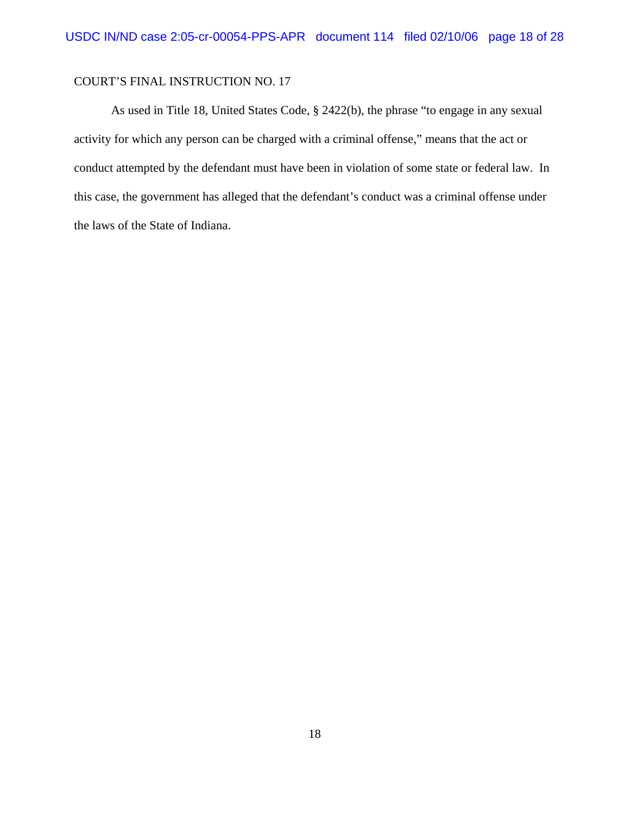As used in Title 18, United States Code, § 2422(b), the phrase "to engage in any sexual activity for which any person can be charged with a criminal offense," means that the act or conduct attempted by the defendant must have been in violation of some state or federal law. In this case, the government has alleged that the defendant's conduct was a criminal offense under the laws of the State of Indiana.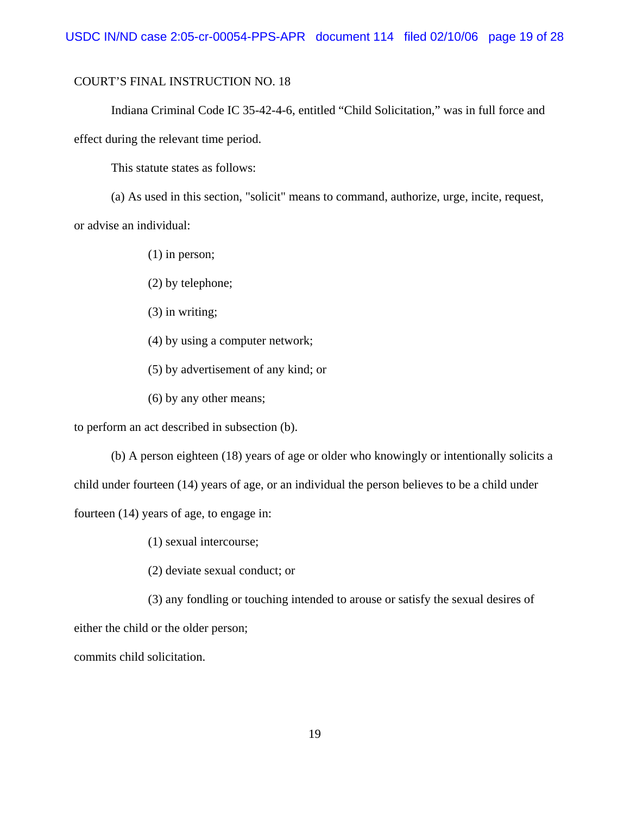Indiana Criminal Code IC 35-42-4-6, entitled "Child Solicitation," was in full force and effect during the relevant time period.

This statute states as follows:

(a) As used in this section, "solicit" means to command, authorize, urge, incite, request, or advise an individual:

(1) in person;

(2) by telephone;

(3) in writing;

(4) by using a computer network;

(5) by advertisement of any kind; or

(6) by any other means;

to perform an act described in subsection (b).

(b) A person eighteen (18) years of age or older who knowingly or intentionally solicits a child under fourteen (14) years of age, or an individual the person believes to be a child under fourteen (14) years of age, to engage in:

(1) sexual intercourse;

(2) deviate sexual conduct; or

(3) any fondling or touching intended to arouse or satisfy the sexual desires of either the child or the older person;

commits child solicitation.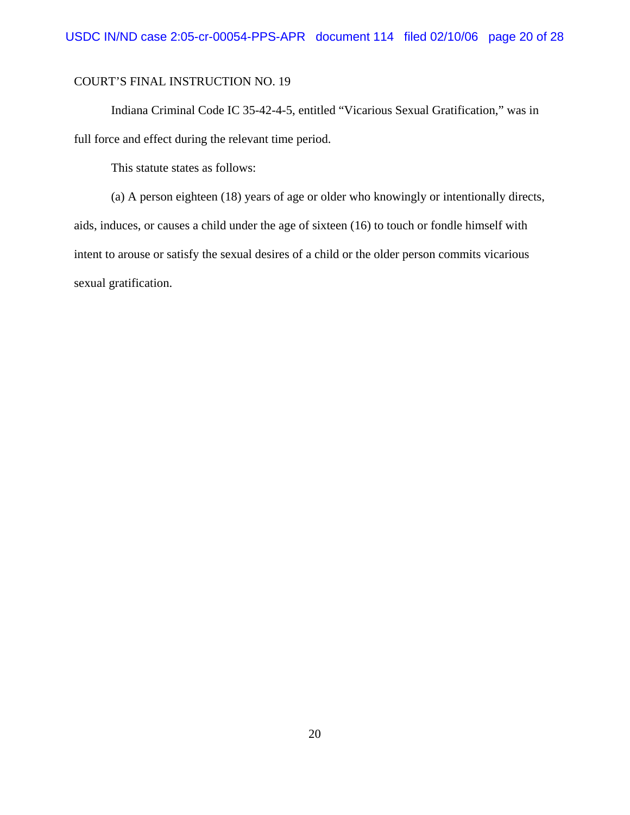Indiana Criminal Code IC 35-42-4-5, entitled "Vicarious Sexual Gratification," was in full force and effect during the relevant time period.

This statute states as follows:

(a) A person eighteen (18) years of age or older who knowingly or intentionally directs, aids, induces, or causes a child under the age of sixteen (16) to touch or fondle himself with intent to arouse or satisfy the sexual desires of a child or the older person commits vicarious sexual gratification.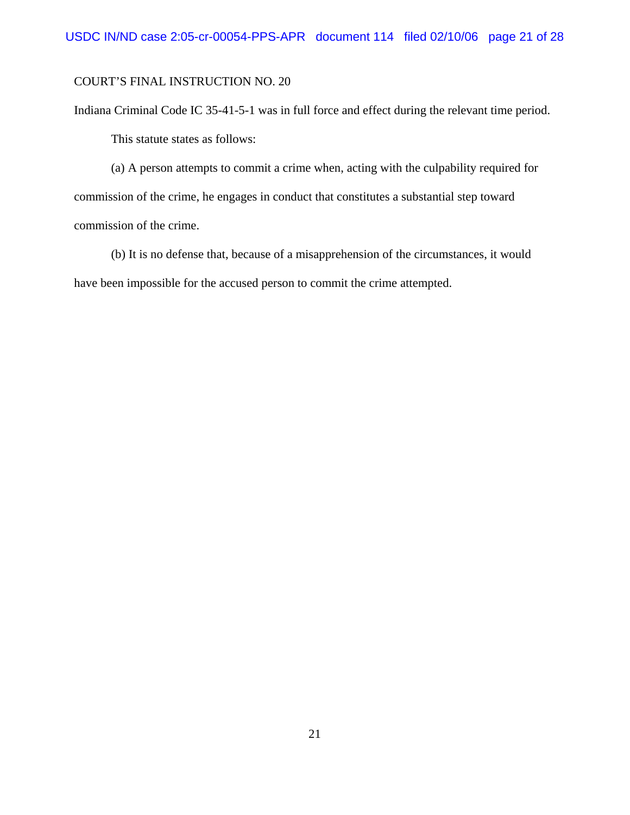Indiana Criminal Code IC 35-41-5-1 was in full force and effect during the relevant time period. This statute states as follows:

(a) A person attempts to commit a crime when, acting with the culpability required for commission of the crime, he engages in conduct that constitutes a substantial step toward commission of the crime.

(b) It is no defense that, because of a misapprehension of the circumstances, it would have been impossible for the accused person to commit the crime attempted.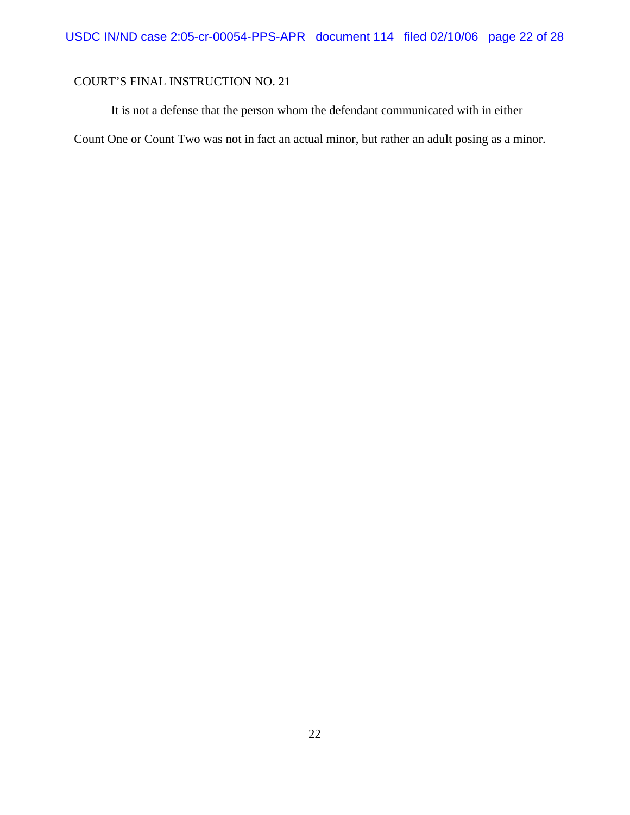It is not a defense that the person whom the defendant communicated with in either

Count One or Count Two was not in fact an actual minor, but rather an adult posing as a minor.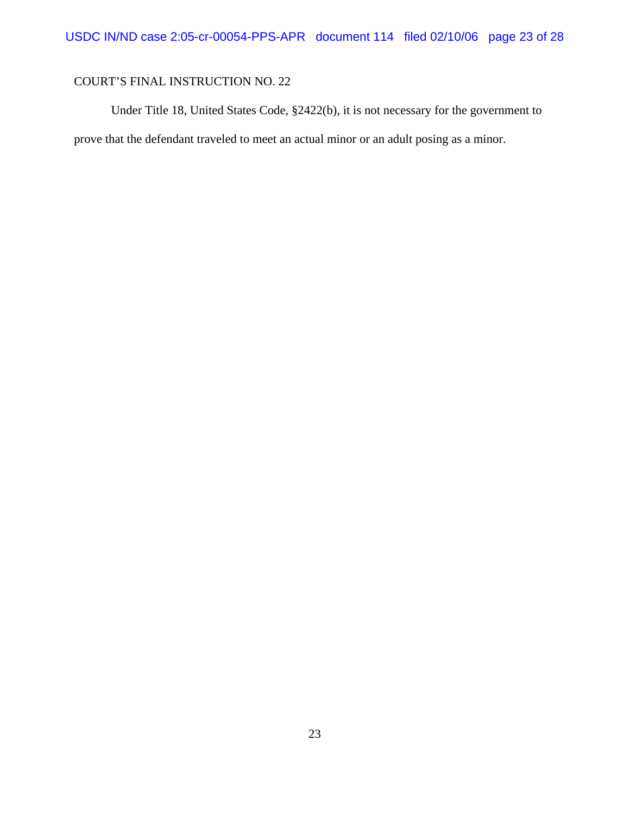Under Title 18, United States Code, §2422(b), it is not necessary for the government to prove that the defendant traveled to meet an actual minor or an adult posing as a minor.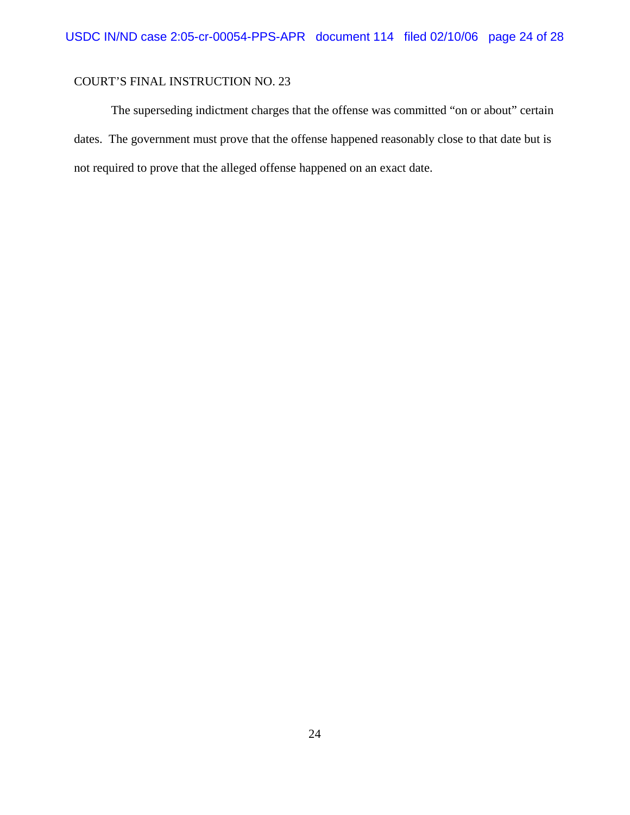The superseding indictment charges that the offense was committed "on or about" certain dates. The government must prove that the offense happened reasonably close to that date but is not required to prove that the alleged offense happened on an exact date.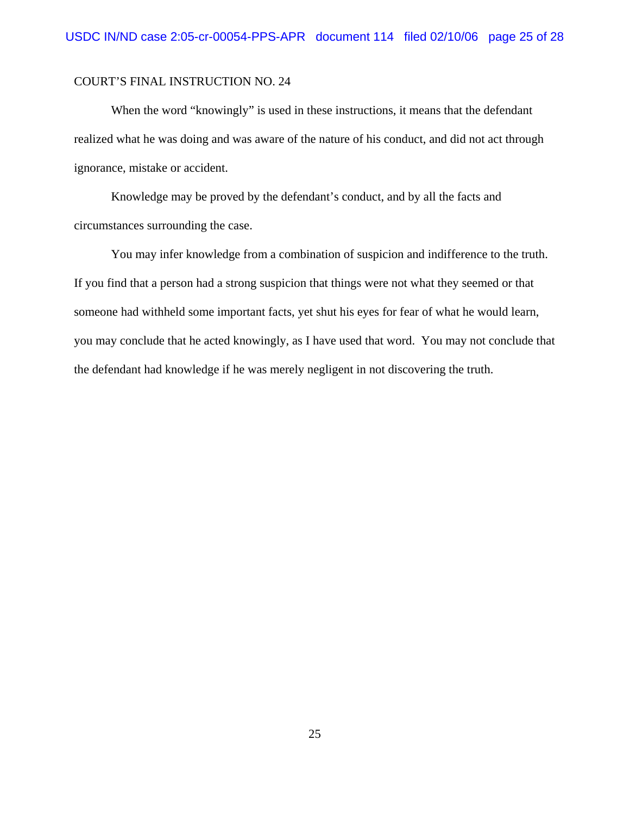When the word "knowingly" is used in these instructions, it means that the defendant realized what he was doing and was aware of the nature of his conduct, and did not act through ignorance, mistake or accident.

Knowledge may be proved by the defendant's conduct, and by all the facts and circumstances surrounding the case.

You may infer knowledge from a combination of suspicion and indifference to the truth. If you find that a person had a strong suspicion that things were not what they seemed or that someone had withheld some important facts, yet shut his eyes for fear of what he would learn, you may conclude that he acted knowingly, as I have used that word. You may not conclude that the defendant had knowledge if he was merely negligent in not discovering the truth.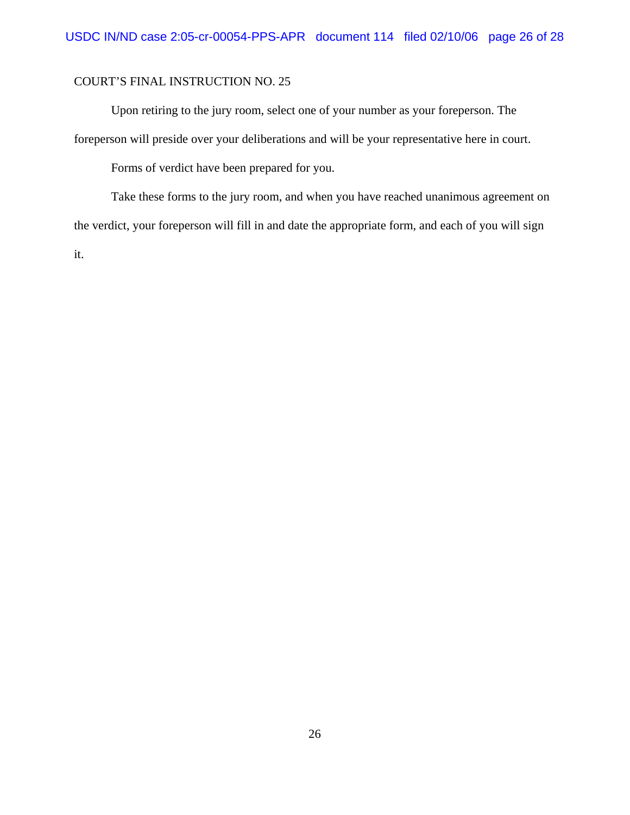Upon retiring to the jury room, select one of your number as your foreperson. The foreperson will preside over your deliberations and will be your representative here in court.

Forms of verdict have been prepared for you.

Take these forms to the jury room, and when you have reached unanimous agreement on the verdict, your foreperson will fill in and date the appropriate form, and each of you will sign it.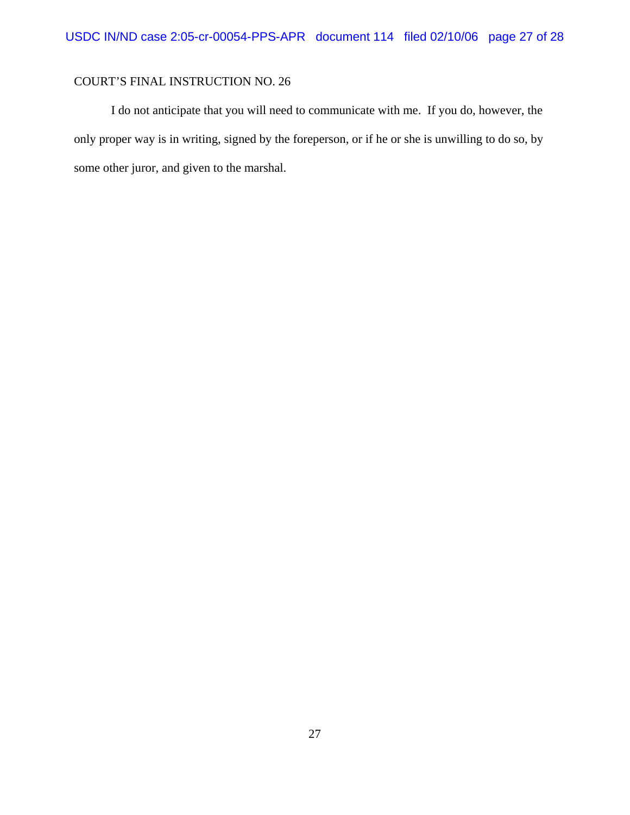I do not anticipate that you will need to communicate with me. If you do, however, the only proper way is in writing, signed by the foreperson, or if he or she is unwilling to do so, by some other juror, and given to the marshal.